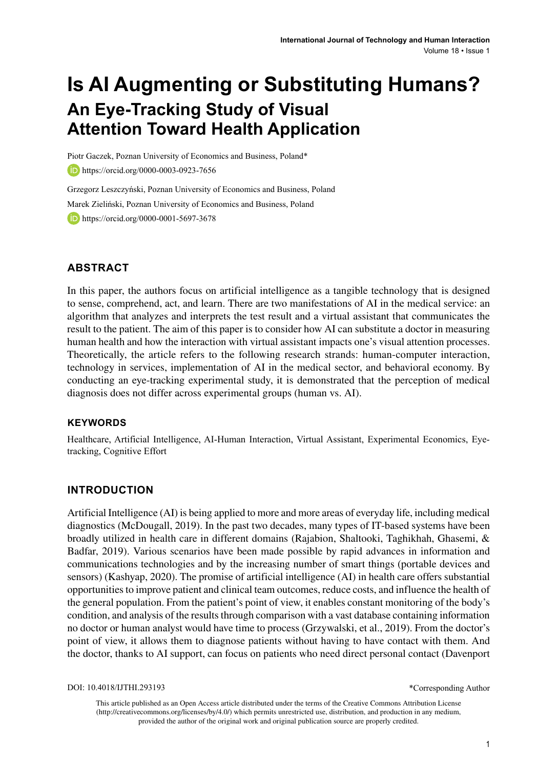# **Is AI Augmenting or Substituting Humans? An Eye-Tracking Study of Visual Attention Toward Health Application**

Piotr Gaczek, Poznan University of Economics and Business, Poland\*

**b** https://orcid.org/0000-0003-0923-7656

Grzegorz Leszczyński, Poznan University of Economics and Business, Poland Marek Zieliński, Poznan University of Economics and Business, Poland **https://orcid.org/0000-0001-5697-3678** 

### **ABSTRACT**

In this paper, the authors focus on artificial intelligence as a tangible technology that is designed to sense, comprehend, act, and learn. There are two manifestations of AI in the medical service: an algorithm that analyzes and interprets the test result and a virtual assistant that communicates the result to the patient. The aim of this paper is to consider how AI can substitute a doctor in measuring human health and how the interaction with virtual assistant impacts one's visual attention processes. Theoretically, the article refers to the following research strands: human-computer interaction, technology in services, implementation of AI in the medical sector, and behavioral economy. By conducting an eye-tracking experimental study, it is demonstrated that the perception of medical diagnosis does not differ across experimental groups (human vs. AI).

#### **Keywords**

Healthcare, Artificial Intelligence, AI-Human Interaction, Virtual Assistant, Experimental Economics, Eyetracking, Cognitive Effort

### **INTRODUCTION**

Artificial Intelligence (AI) is being applied to more and more areas of everyday life, including medical diagnostics (McDougall, 2019). In the past two decades, many types of IT-based systems have been broadly utilized in health care in different domains (Rajabion, Shaltooki, Taghikhah, Ghasemi, & Badfar, 2019). Various scenarios have been made possible by rapid advances in information and communications technologies and by the increasing number of smart things (portable devices and sensors) (Kashyap, 2020). The promise of artificial intelligence (AI) in health care offers substantial opportunities to improve patient and clinical team outcomes, reduce costs, and influence the health of the general population. From the patient's point of view, it enables constant monitoring of the body's condition, and analysis of the results through comparison with a vast database containing information no doctor or human analyst would have time to process (Grzywalski, et al., 2019). From the doctor's point of view, it allows them to diagnose patients without having to have contact with them. And the doctor, thanks to AI support, can focus on patients who need direct personal contact (Davenport

DOI: 10.4018/IJTHI.293193

\*Corresponding Author

This article published as an Open Access article distributed under the terms of the Creative Commons Attribution License (http://creativecommons.org/licenses/by/4.0/) which permits unrestricted use, distribution, and production in any medium, provided the author of the original work and original publication source are properly credited.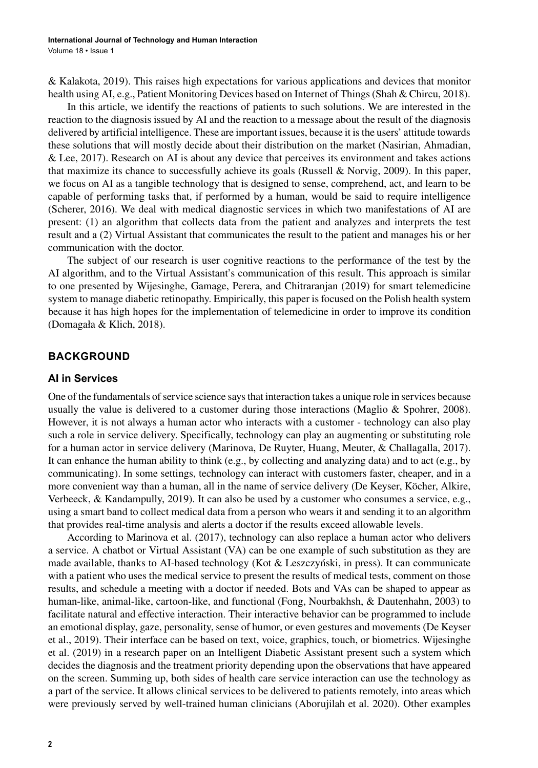& Kalakota, 2019). This raises high expectations for various applications and devices that monitor health using AI, e.g., Patient Monitoring Devices based on Internet of Things (Shah & Chircu, 2018).

In this article, we identify the reactions of patients to such solutions. We are interested in the reaction to the diagnosis issued by AI and the reaction to a message about the result of the diagnosis delivered by artificial intelligence. These are important issues, because it is the users' attitude towards these solutions that will mostly decide about their distribution on the market (Nasirian, Ahmadian, & Lee, 2017). Research on AI is about any device that perceives its environment and takes actions that maximize its chance to successfully achieve its goals (Russell & Norvig, 2009). In this paper, we focus on AI as a tangible technology that is designed to sense, comprehend, act, and learn to be capable of performing tasks that, if performed by a human, would be said to require intelligence (Scherer, 2016). We deal with medical diagnostic services in which two manifestations of AI are present: (1) an algorithm that collects data from the patient and analyzes and interprets the test result and a (2) Virtual Assistant that communicates the result to the patient and manages his or her communication with the doctor.

The subject of our research is user cognitive reactions to the performance of the test by the AI algorithm, and to the Virtual Assistant's communication of this result. This approach is similar to one presented by Wijesinghe, Gamage, Perera, and Chitraranjan (2019) for smart telemedicine system to manage diabetic retinopathy. Empirically, this paper is focused on the Polish health system because it has high hopes for the implementation of telemedicine in order to improve its condition (Domagała & Klich, 2018).

### **BACKGROUND**

### **AI in Services**

One of the fundamentals of service science says that interaction takes a unique role in services because usually the value is delivered to a customer during those interactions (Maglio & Spohrer, 2008). However, it is not always a human actor who interacts with a customer - technology can also play such a role in service delivery. Specifically, technology can play an augmenting or substituting role for a human actor in service delivery (Marinova, De Ruyter, Huang, Meuter, & Challagalla, 2017). It can enhance the human ability to think (e.g., by collecting and analyzing data) and to act (e.g., by communicating). In some settings, technology can interact with customers faster, cheaper, and in a more convenient way than a human, all in the name of service delivery (De Keyser, Köcher, Alkire, Verbeeck, & Kandampully, 2019). It can also be used by a customer who consumes a service, e.g., using a smart band to collect medical data from a person who wears it and sending it to an algorithm that provides real-time analysis and alerts a doctor if the results exceed allowable levels.

According to Marinova et al. (2017), technology can also replace a human actor who delivers a service. A chatbot or Virtual Assistant (VA) can be one example of such substitution as they are made available, thanks to AI-based technology (Kot & Leszczyński, in press). It can communicate with a patient who uses the medical service to present the results of medical tests, comment on those results, and schedule a meeting with a doctor if needed. Bots and VAs can be shaped to appear as human-like, animal-like, cartoon-like, and functional (Fong, Nourbakhsh, & Dautenhahn, 2003) to facilitate natural and effective interaction. Their interactive behavior can be programmed to include an emotional display, gaze, personality, sense of humor, or even gestures and movements (De Keyser et al., 2019). Their interface can be based on text, voice, graphics, touch, or biometrics. Wijesinghe et al. (2019) in a research paper on an Intelligent Diabetic Assistant present such a system which decides the diagnosis and the treatment priority depending upon the observations that have appeared on the screen. Summing up, both sides of health care service interaction can use the technology as a part of the service. It allows clinical services to be delivered to patients remotely, into areas which were previously served by well-trained human clinicians (Aborujilah et al. 2020). Other examples